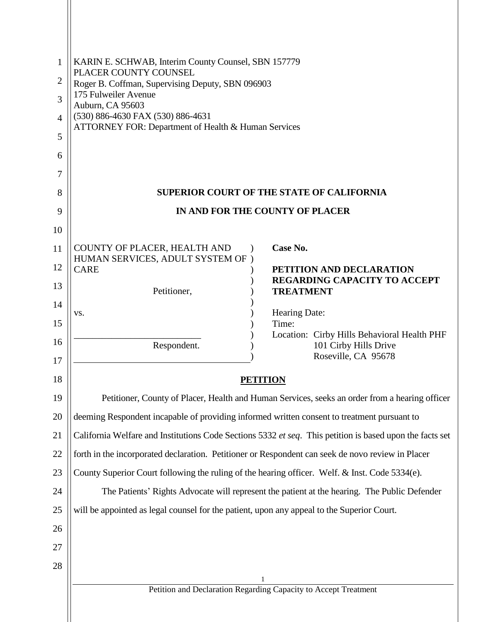| $\mathbf{1}$   | KARIN E. SCHWAB, Interim County Counsel, SBN 157779                                               |                                                                                                          |
|----------------|---------------------------------------------------------------------------------------------------|----------------------------------------------------------------------------------------------------------|
| $\overline{2}$ | PLACER COUNTY COUNSEL<br>Roger B. Coffman, Supervising Deputy, SBN 096903                         |                                                                                                          |
| 3              | 175 Fulweiler Avenue<br>Auburn, CA 95603                                                          |                                                                                                          |
| $\overline{4}$ | (530) 886-4630 FAX (530) 886-4631                                                                 |                                                                                                          |
| 5              | ATTORNEY FOR: Department of Health & Human Services                                               |                                                                                                          |
| 6              |                                                                                                   |                                                                                                          |
| 7              |                                                                                                   |                                                                                                          |
| 8              |                                                                                                   | <b>SUPERIOR COURT OF THE STATE OF CALIFORNIA</b>                                                         |
| 9              |                                                                                                   | IN AND FOR THE COUNTY OF PLACER                                                                          |
| 10             |                                                                                                   |                                                                                                          |
| 11             | COUNTY OF PLACER, HEALTH AND<br>$\lambda$<br>HUMAN SERVICES, ADULT SYSTEM OF)                     | Case No.                                                                                                 |
| 12             | <b>CARE</b>                                                                                       | PETITION AND DECLARATION                                                                                 |
| 13             | Petitioner,                                                                                       | REGARDING CAPACITY TO ACCEPT<br><b>TREATMENT</b>                                                         |
| 14             | VS.                                                                                               | Hearing Date:                                                                                            |
| 15             |                                                                                                   | Time:<br>Location: Cirby Hills Behavioral Health PHF                                                     |
| 16<br>17       | Respondent.                                                                                       | 101 Cirby Hills Drive<br>Roseville, CA 95678                                                             |
| 18             | <b>PETITION</b>                                                                                   |                                                                                                          |
| 19             |                                                                                                   | Petitioner, County of Placer, Health and Human Services, seeks an order from a hearing officer           |
| 20             | deeming Respondent incapable of providing informed written consent to treatment pursuant to       |                                                                                                          |
| 21             |                                                                                                   | California Welfare and Institutions Code Sections 5332 et seq. This petition is based upon the facts set |
| 22             | forth in the incorporated declaration. Petitioner or Respondent can seek de novo review in Placer |                                                                                                          |
| 23             | County Superior Court following the ruling of the hearing officer. Welf. & Inst. Code 5334(e).    |                                                                                                          |
| 24             |                                                                                                   | The Patients' Rights Advocate will represent the patient at the hearing. The Public Defender             |
| 25             | will be appointed as legal counsel for the patient, upon any appeal to the Superior Court.        |                                                                                                          |
| 26             |                                                                                                   |                                                                                                          |
| 27             |                                                                                                   |                                                                                                          |
| 28             |                                                                                                   |                                                                                                          |
|                |                                                                                                   | Petition and Declaration Regarding Capacity to Accept Treatment                                          |
|                |                                                                                                   |                                                                                                          |
|                |                                                                                                   |                                                                                                          |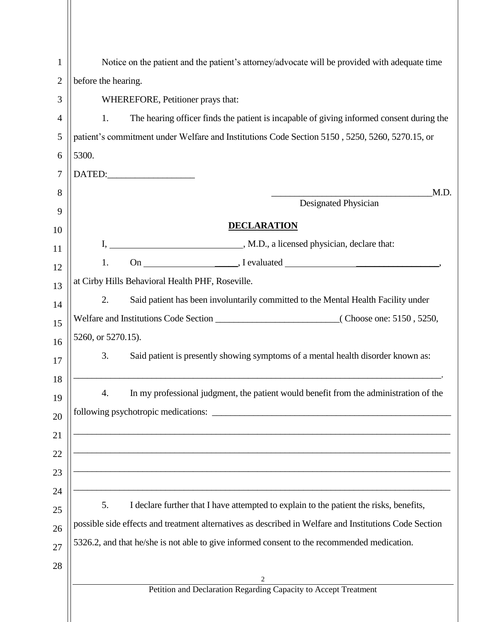| 1              | Notice on the patient and the patient's attorney/advocate will be provided with adequate time                                      |  |  |
|----------------|------------------------------------------------------------------------------------------------------------------------------------|--|--|
| $\overline{2}$ | before the hearing.                                                                                                                |  |  |
| 3              |                                                                                                                                    |  |  |
|                | WHEREFORE, Petitioner prays that:                                                                                                  |  |  |
| $\overline{4}$ | The hearing officer finds the patient is incapable of giving informed consent during the<br>1.                                     |  |  |
| 5              | patient's commitment under Welfare and Institutions Code Section 5150, 5250, 5260, 5270.15, or                                     |  |  |
| 6              | 5300.                                                                                                                              |  |  |
| 7              | DATED:                                                                                                                             |  |  |
| 8              | M.D.<br>Designated Physician                                                                                                       |  |  |
| 9              |                                                                                                                                    |  |  |
| 10             | <b>DECLARATION</b>                                                                                                                 |  |  |
| 11             | M.D., a licensed physician, declare that:                                                                                          |  |  |
| 12             | 1.                                                                                                                                 |  |  |
| 13             | at Cirby Hills Behavioral Health PHF, Roseville.                                                                                   |  |  |
| 14             | Said patient has been involuntarily committed to the Mental Health Facility under<br>2.                                            |  |  |
| 15             |                                                                                                                                    |  |  |
| 16             | 5260, or 5270.15).                                                                                                                 |  |  |
| 17             | Said patient is presently showing symptoms of a mental health disorder known as:<br>3.                                             |  |  |
| 18<br>19<br>20 | In my professional judgment, the patient would benefit from the administration of the<br>4.<br>following psychotropic medications: |  |  |
| 21             |                                                                                                                                    |  |  |
| 22<br>23       |                                                                                                                                    |  |  |
| 24             |                                                                                                                                    |  |  |
| 25             | I declare further that I have attempted to explain to the patient the risks, benefits,<br>5.                                       |  |  |
| 26             | possible side effects and treatment alternatives as described in Welfare and Institutions Code Section                             |  |  |
| 27             | 5326.2, and that he/she is not able to give informed consent to the recommended medication.                                        |  |  |
| 28             | 2                                                                                                                                  |  |  |
|                | Petition and Declaration Regarding Capacity to Accept Treatment                                                                    |  |  |
|                |                                                                                                                                    |  |  |